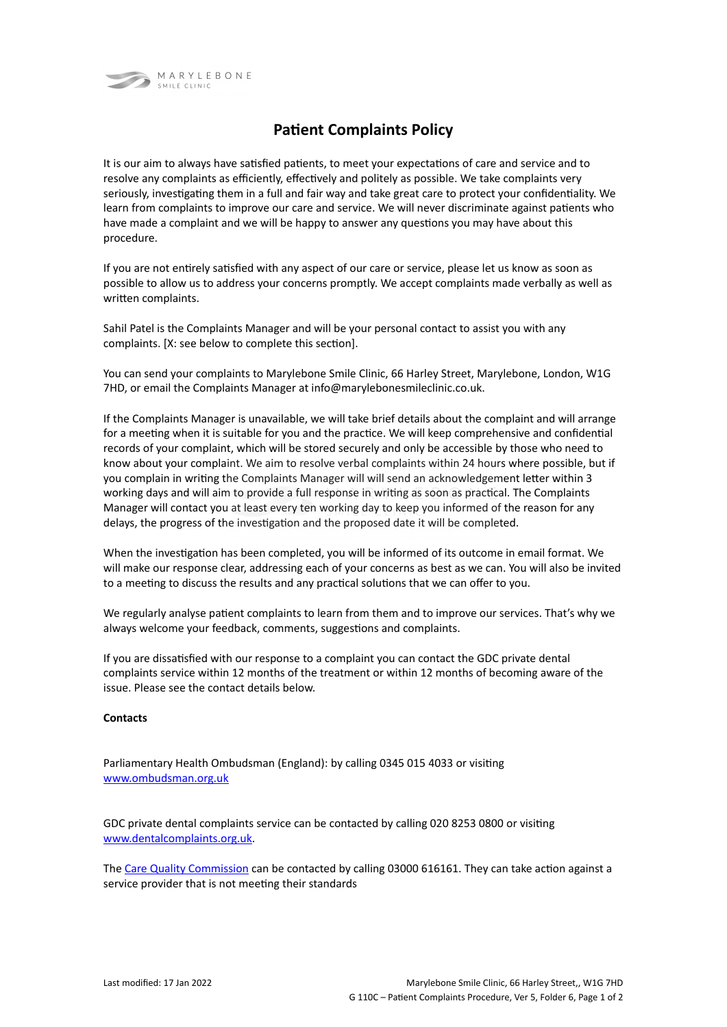

## **Patient Complaints Policy**

It is our aim to always have satisfied patients, to meet your expectations of care and service and to resolve any complaints as efficiently, effectively and politely as possible. We take complaints very seriously, investigating them in a full and fair way and take great care to protect your confidentiality. We learn from complaints to improve our care and service. We will never discriminate against patients who have made a complaint and we will be happy to answer any questions you may have about this procedure.

If you are not entirely satisfied with any aspect of our care or service, please let us know as soon as possible to allow us to address your concerns promptly. We accept complaints made verbally as well as written complaints.

Sahil Patel is the Complaints Manager and will be your personal contact to assist you with any complaints. [X: see below to complete this section].

You can send your complaints to Marylebone Smile Clinic, 66 Harley Street, Marylebone, London, W1G 7HD, or email the Complaints Manager at info@marylebonesmileclinic.co.uk.

If the Complaints Manager is unavailable, we will take brief details about the complaint and will arrange for a meeting when it is suitable for you and the practice. We will keep comprehensive and confidential records of your complaint, which will be stored securely and only be accessible by those who need to know about your complaint. We aim to resolve verbal complaints within 24 hours where possible, but if you complain in writing the Complaints Manager will will send an acknowledgement letter within 3 working days and will aim to provide a full response in writing as soon as practical. The Complaints Manager will contact you at least every ten working day to keep you informed of the reason for any delays, the progress of the investigation and the proposed date it will be completed.

When the investigation has been completed, you will be informed of its outcome in email format. We will make our response clear, addressing each of your concerns as best as we can. You will also be invited to a meeting to discuss the results and any practical solutions that we can offer to you.

We regularly analyse patient complaints to learn from them and to improve our services. That's why we always welcome your feedback, comments, suggestions and complaints.

If you are dissatisfied with our response to a complaint you can contact the GDC private dental complaints service within 12 months of the treatment or within 12 months of becoming aware of the issue. Please see the contact details below.

## **Contacts**

Parliamentary Health Ombudsman (England): by calling 0345 015 4033 or visiting [www.ombudsman.org.uk](http://www.ombudsman.org.uk/)

GDC private dental complaints service can be contacted by calling 020 8253 0800 or visiting [www.dentalcomplaints.org.uk.](http://www.dentalcomplaints.org.uk/)

The [Care Quality Commission](http://www.cqc.org.uk/) can be contacted by calling 03000 616161. They can take action against a service provider that is not meeting their standards